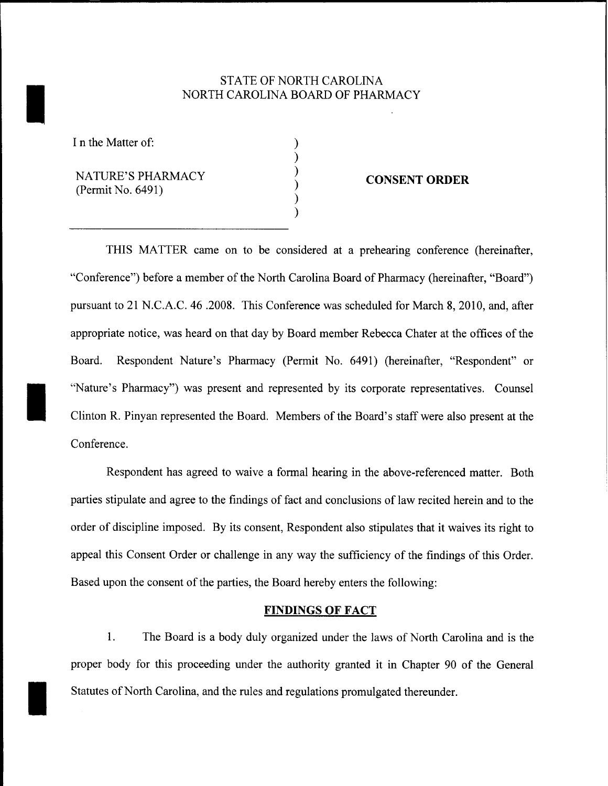# STATE OF NORTH CAROLINA NORTH CAROLINA BOARD OF PHARMACY

) ) ) ) ) )

I n the Matter of:

I

I

I

NATURE'S PHARMACY (Permit No. 6491)

## **CONSENT ORDER**

THIS MATTER came on to be considered at a prehearing conference (hereinafter, "Conference") before a member of the North Carolina Board of Pharmacy (hereinafter, "Board") pursuant to 21 N.C.A.C. 46.2008. This Conference was scheduled for March 8, 2010, and, after appropriate notice, was heard on that day by Board member Rebecca Chater at the offices of the Board. Respondent Nature's Pharmacy (Permit No. 6491) (hereinafter, "Respondent" or "Nature's Pharmacy") was present and represented by its corporate representatives. Counsel Clinton R. Pinyan represented the Board. Members of the Board's staff were also present at the Conference.

Respondent has agreed to waive a formal hearing in the above-referenced matter. Both parties stipulate and agree to the findings of fact and conclusions of law recited herein and to the order of discipline imposed. By its consent, Respondent also stipulates that it waives its right to appeal this Consent Order or challenge in any way the sufficiency of the findings of this Order. Based upon the consent of the parties, the Board hereby enters the following:

#### **FINDINGS OF FACT**

1. The Board is a body duly organized under the laws of North Carolina and is the proper body for this proceeding under the authority granted it in Chapter 90 of the General Statutes of North Carolina, and the rules and regulations promulgated thereunder.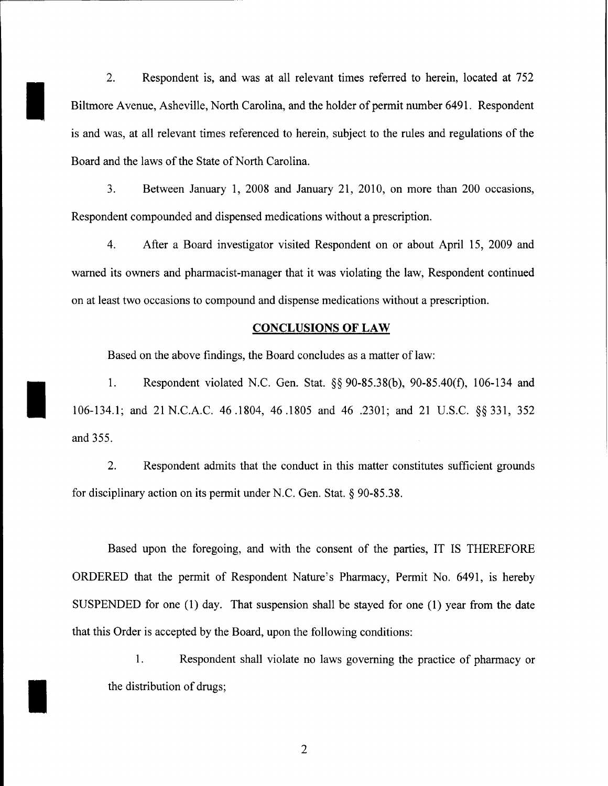2. Respondent is, and was at all relevant times referred to herein, located at 752 Biltmore Avenue, Asheville, North Carolina, and the holder of permit number 6491. Respondent is and was, at all relevant times referenced to herein, subject to the rules and regulations of the Board and the laws of the State of North Carolina.

I

I

I

3. Between January 1, 2008 and January 21, 2010, on more than 200 occasions, Respondent compounded and dispensed medications without a prescription.

4. After a Board investigator visited Respondent on or about April 15, 2009 and warned its owners and pharmacist-manager that it was violating the law, Respondent continued on at least two occasions to compound and dispense medications without a prescription.

### **CONCLUSIONS OF LAW**

Based on the above findings, the Board concludes as a matter of law:

1. Respondent violated N.C. Gen. Stat. §§ 90-85.38(b), 90-85.40(f), 106-134 and 106-134.1; and 21 N.C.A.C. 46.1804, 46.1805 and 46 .2301; and 21 U.S.C. §§ 331, 352 and 355.

2. Respondent admits that the conduct in this matter constitutes sufficient grounds for disciplinary action on its permit under N.C. Gen. Stat. § 90-85.38.

Based upon the foregoing, and with the consent of the parties, IT IS THEREFORE ORDERED that the permit of Respondent Nature's Pharmacy, Permit No. 6491, is hereby SUSPENDED for one (1) day. That suspension shall be stayed for one (1) year from the date that this Order is accepted by the Board, upon the following conditions:

1. Respondent shall violate no laws governing the practice of pharmacy or the distribution of drugs;

2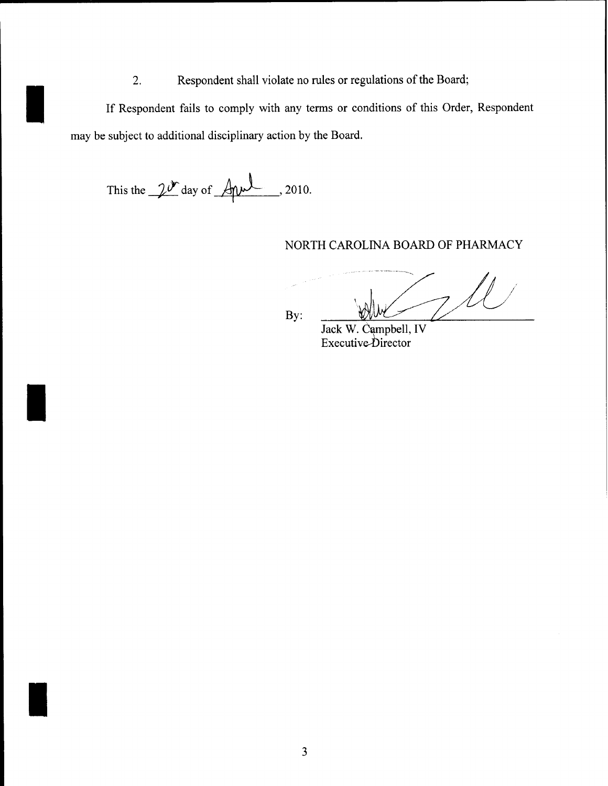2. Respondent shall violate no rules or regulations of the Board;

If Respondent fails to comply with any terms or conditions of this Order, Respondent may be subject to additional disciplinary action by the Board.

This the  $2^{\mathcal{N}}$  day of  $\text{Aut}$ , 2010.

I

I

I

NORTH CAROLINA BOARD OF PHARMACY

By:

Jack w. Campbell, IV Executive-Director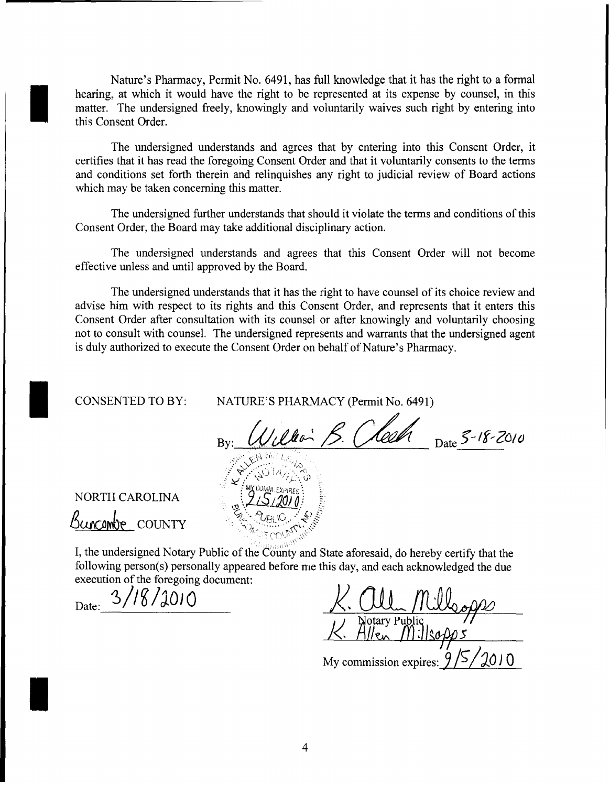Nature's Pharmacy, Permit No. 6491, has full knowledge that it has the right to a formal hearing, at which it would have the right to be represented at its expense by counsel, in this matter. The undersigned freely, knowingly and voluntarily waives such right by entering into this Consent Order.

The undersigned understands and agrees that by entering into this Consent Order, it certifies that it has read the foregoing Consent Order and that it voluntarily consents to the terms and conditions set forth therein and relinquishes any right to judicial review of Board actions which may be taken concerning this matter.

The undersigned further understands that should it violate the terms and conditions ofthis Consent Order, the Board may take additional disciplinary action.

The undersigned understands and agrees that this Consent Order will not become effective unless and until approved by the Board.

The undersigned understands that it has the right to have counsel of its choice review and advise him with respect to its rights and this Consent Order, and represents that it enters this Consent Order after consultation with its counsel or after knowingly and voluntarily choosing not to consult with counsel. The undersigned represents and warrants that the undersigned agent is duly authorized to execute the Consent Order on behalf of Nature's Pharmacy.

CONSENTED TO BY:

I

I

I

NATURE'S PHARMACY (Permit No. 6491)

 $\frac{1}{\sqrt{2}}$  Date 5-18-2010

NORTH CAROLINA

Buncombe COUNTY

I, the undersigned Notary Public of the County and State aforesaid, do hereby certify that the following person(s) personally appeared before me this day, and each acknowledged the due execution of the foregoing document:

Date: 3/18/2010

<u>Cll Milloopps</u><br>Notary Public<br>Allen Millsopps